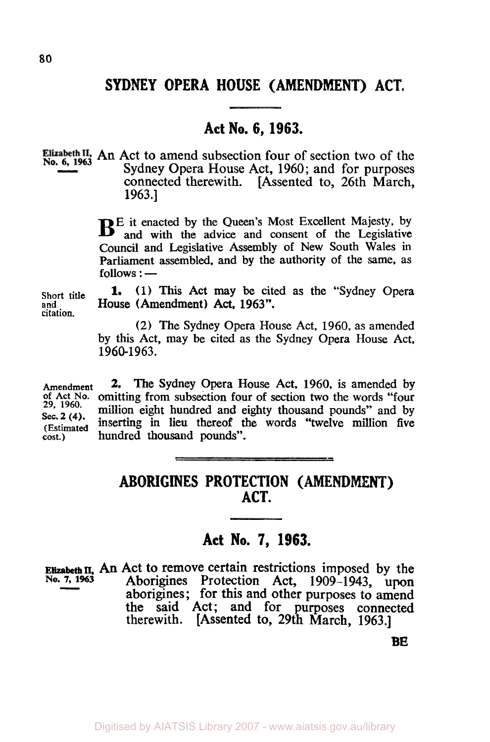# **SYDNEY OPERA HOUSE (AMENDMENT) ACT.**

# **Act No. 6, 1963.**

Elizabeth II, An Act to amend subsection four of section two of the Sydney Opera House Act 1060; and for nurnoses Sydney Opera House Act, 1960; and for purposes connected therewith. [Assented to, 26th March, 1963.]

> **BE** it enacted by the Queen's Most Excellent Majesty, by and with the advice and consent of the Legislative Council and Legislative Assembly of New South Wales in Parliament assembled, and by the authority of the same, as follows : —

**(1)** This Act may be cited as the "Sydney Opera **and** House (Amendment) Act, **1963". 1.** 

**(2)** The Sydney Opera House Act, **1960,** as amended by this Act, may be cited as the Sydney Opera House Act, **1 960-1 963.** 

**Amendment 2.** The Sydney Opera House Act, 1960, is amended by of Act No. omitting from subsection four of section two the words "four 29, 1960. million eight hundred and eighty thousand pounds" and by omitting from subsection four of section two the words "four 2, <sup>2, 1960</sup>. million eight hundred and eighty thousand pounds" and by **29, 1960. Sec. 2**  $(4)$ **. inserting in lieu thereof the words "twelve million five cost.) hundred thousand pounds".** hundred thousand pounds".

## **ABORIGINES PROTECTION (AMENDMENT) ACT.**

## **Act No. 7, 1963.**

**Elizabeth II, An Act to remove certain restrictions imposed by the No. 7, 1963** Aborigines Protection Act. 1909–1943 upon **No. 7, 1963** Aborigines Protection Act, 1909-1943, **upon**  aborigines; for this and other purposes to amend the said Act; and for purposes connected therewith. [Assented to, 29th March, 1963.]

**BE** 

**Short title citation.**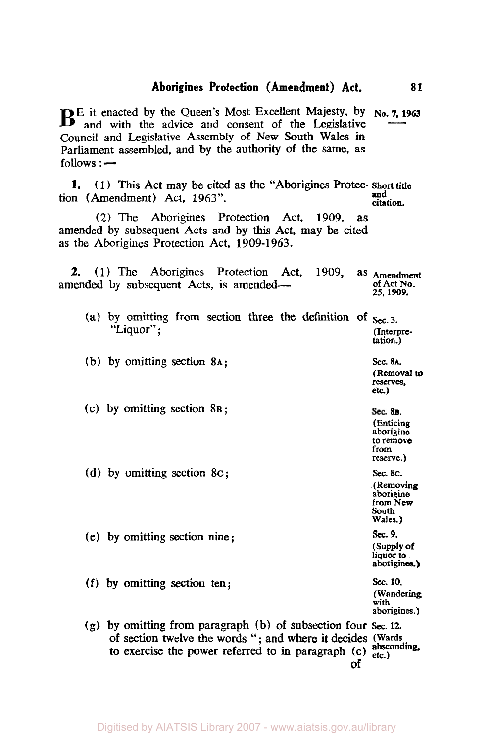#### **Aborigines Protection (Amendment) Act. 81**

**B** E it enacted by the Queen's Most Excellent Majesty, by No. **7, 1963** and with the advice and consent of the Legislative Council and Legislative Assembly of New South Wales in Parliament assembled, and by the authority of the same, **as**   $follows:$   $-$ 

**1.** (1) This Act may be cited as the "Aborigines Protec- **Short title**  tion (Amendment) Act, 1963". **And** citation. **and** 

**(2)** The Aborigines Protection Act, 1909, as amended by subsequent Acts and by this Act, may be cited as the Aborigines Protection Act, 1909-1963.

**2.** (1) The Aborigines Protection Act, 1909, as **Amendment**  amended by subsequent Acts, is amended— of Act No. *25,* **1909.** 

| (a) by omitting from section three the definition of $\frac{1}{2}$<br>"Liquor"; |  |  |  | (Interpre-<br>tation.)                           |
|---------------------------------------------------------------------------------|--|--|--|--------------------------------------------------|
| (b) by omitting section 8A;                                                     |  |  |  | Sec. 8A.<br>(Removal to<br>reserves.<br>$etc.$ ) |

- (c) by omitting section **8B;**
- (d) by omitting section *8C;*
- 
- (e) by omitting section nine;
- **(f)** by omitting section ten; *sec.* **10.**

**aborigines) (Wandering with aborigines.)** 

Sec. 8**в**. **(Enticing aborigine to remove from reserve.)**  *Sec.* **8C. (Removing aborigine from New**  South **Wales.)**  *sec. 9.*  **(Supply of liquor** *to* 

**(g)** by omitting from paragraph (b) of subsection four *sec.* **12.**  of section twelve the words "; and where it decides **(Wards**  to exercise the power referred to in paragraph (c) absconding, **of**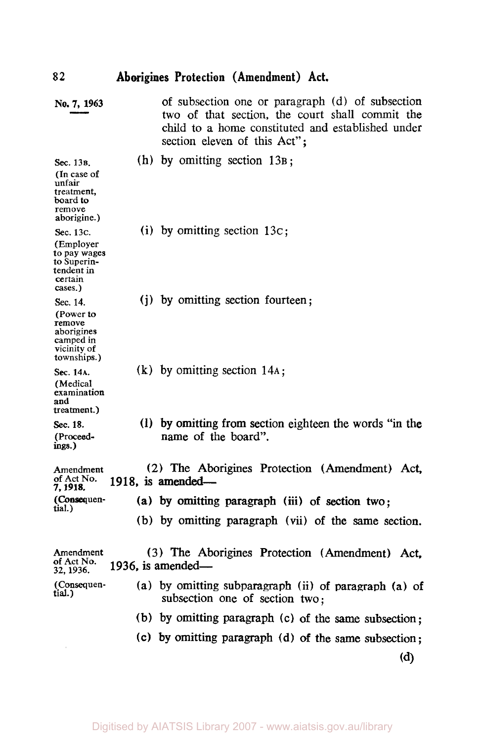| 82                                                                                        | Aborigines Protection (Amendment) Act.                                                                                                                                                   |
|-------------------------------------------------------------------------------------------|------------------------------------------------------------------------------------------------------------------------------------------------------------------------------------------|
| No. 7, 1963                                                                               | of subsection one or paragraph (d) of subsection<br>two of that section, the court shall commit the<br>child to a home constituted and established under<br>section eleven of this Act"; |
| Sec. 13B.<br>(In case of<br>unfair<br>treatment.<br>board to<br>remove<br>aborigine.)     | (h) by omitting section $13B$ ;                                                                                                                                                          |
| Sec. 13c.<br>(Employer<br>to pay wages<br>to Superin-<br>tendent in<br>certain<br>cases.) | (i) by omitting section $13c$ ;                                                                                                                                                          |
| Sec. 14.<br>(Power to<br>remove<br>aborigines<br>camped in<br>vicinity of<br>townships.)  | (j) by omitting section fourteen;                                                                                                                                                        |
| Sec. 14A.<br>(Medical<br>examination<br>and<br>treatment.)                                | $(k)$ by omitting section 14A;                                                                                                                                                           |
| Sec. 18.<br>(Proceed-<br>ings.)                                                           | (1) by omitting from section eighteen the words "in the<br>name of the board".                                                                                                           |
| Amendment<br>of Act No.<br>7. 1918.                                                       | (2) The Aborigines Protection (Amendment) Act,<br>$1918$ , is amended—                                                                                                                   |
| (Consequen-<br>tial.)                                                                     | (a) by omitting paragraph (iii) of section two;                                                                                                                                          |
|                                                                                           | (b) by omitting paragraph (vii) of the same section.                                                                                                                                     |
| Amendment<br>of Act No.<br>32, 1936.                                                      | (3) The Aborigines Protection (Amendment) Act,<br>1936, is amended—                                                                                                                      |
| (Consequen-<br>tial.)                                                                     | (a) by omitting subparagraph (ii) of paragraph (a) of<br>subsection one of section two:                                                                                                  |
|                                                                                           | (b) by omitting paragraph (c) of the same subsection;                                                                                                                                    |
|                                                                                           | (c) by omitting paragraph (d) of the same subsection;                                                                                                                                    |

**(d)**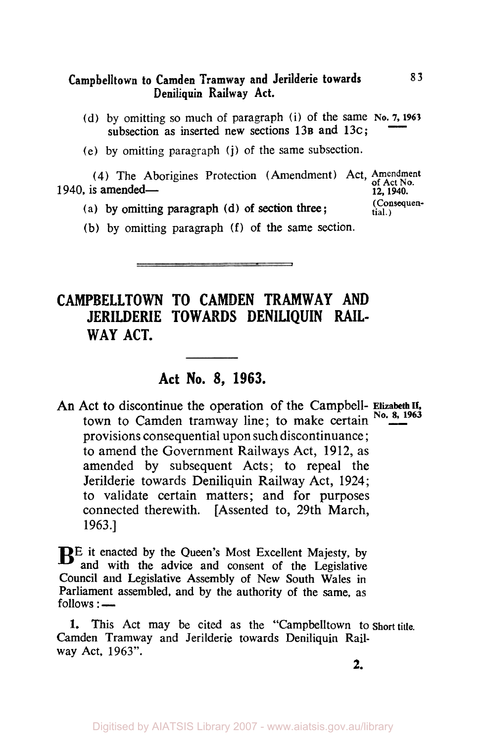#### **Campbelitown to Camden Tramway and Jerilderie towards Deniliquin Railway Act. 83**

(d) by omitting so much of paragraph (i) of the same No. 7, 1963 subsection as inserted new sections 13B and 13c;

> **(Consequential.)**

(e) by omitting paragraph (j) of the same subsection.

**(4)** The Aborigines Protection (Amendment) Act, Amendment of Act. No. **1940, is amended— 12, 1940.** 

- **(a)** by omitting paragraph (d) **of** section three;
- (b) by omitting paragraph **(f)** of the same section.